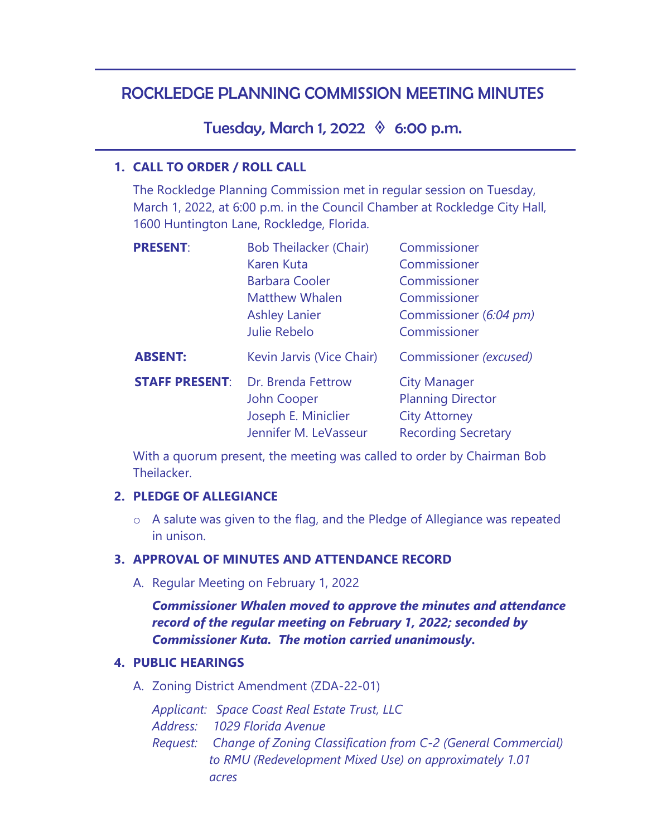# ROCKLEDGE PLANNING COMMISSION MEETING MINUTES

Tuesday, March 1, 2022  $\Diamond$  6:00 p.m.

#### **1. CALL TO ORDER / ROLL CALL**

The Rockledge Planning Commission met in regular session on Tuesday, March 1, 2022, at 6:00 p.m. in the Council Chamber at Rockledge City Hall, 1600 Huntington Lane, Rockledge, Florida.

| <b>PRESENT:</b>       | <b>Bob Theilacker (Chair)</b> | Commissioner               |
|-----------------------|-------------------------------|----------------------------|
|                       | <b>Karen Kuta</b>             | Commissioner               |
|                       | <b>Barbara Cooler</b>         | Commissioner               |
|                       | <b>Matthew Whalen</b>         | Commissioner               |
|                       | <b>Ashley Lanier</b>          | Commissioner (6:04 pm)     |
|                       | <b>Julie Rebelo</b>           | Commissioner               |
| <b>ABSENT:</b>        | Kevin Jarvis (Vice Chair)     | Commissioner (excused)     |
| <b>STAFF PRESENT:</b> | Dr. Brenda Fettrow            | <b>City Manager</b>        |
|                       | John Cooper                   | <b>Planning Director</b>   |
|                       | Joseph E. Miniclier           | <b>City Attorney</b>       |
|                       | Jennifer M. LeVasseur         | <b>Recording Secretary</b> |

With a quorum present, the meeting was called to order by Chairman Bob **Theilacker** 

#### **2. PLEDGE OF ALLEGIANCE**

o A salute was given to the flag, and the Pledge of Allegiance was repeated in unison.

### **3. APPROVAL OF MINUTES AND ATTENDANCE RECORD**

A. Regular Meeting on February 1, 2022

*Commissioner Whalen moved to approve the minutes and attendance record of the regular meeting on February 1, 2022; seconded by Commissioner Kuta. The motion carried unanimously.* 

### **4. PUBLIC HEARINGS**

A. Zoning District Amendment (ZDA-22-01)

*Applicant: Space Coast Real Estate Trust, LLC* 

*Address: 1029 Florida Avenue* 

*Request: Change of Zoning Classification from C-2 (General Commercial) to RMU (Redevelopment Mixed Use) on approximately 1.01 acres*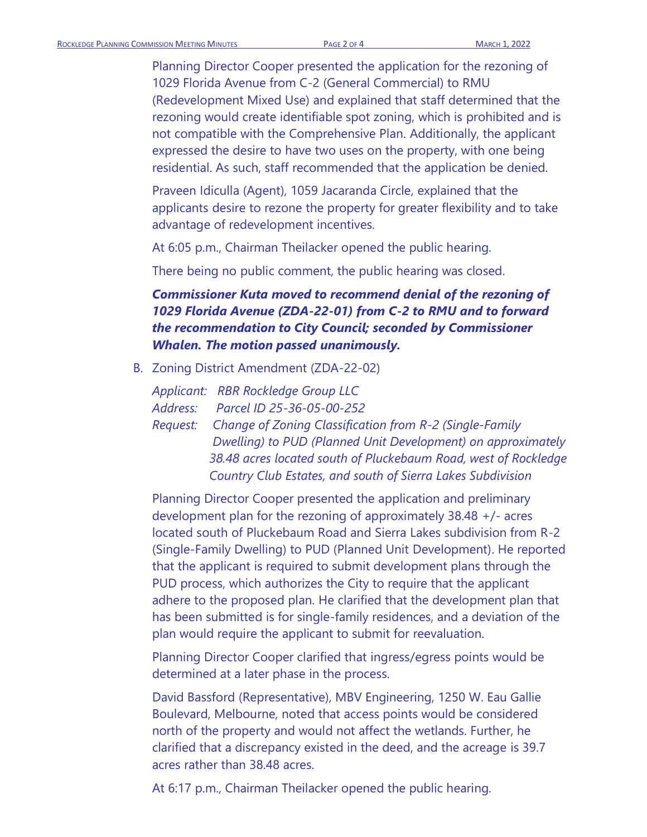Planning Director Cooper presented the application for the rezoning of 1029 Florida Avenue from C-2 (General Commercial) to RMU (Redevelopment Mixed Use) and explained that staff determined that the rezoning would create identifiable spot zoning, which is prohibited and is not compatible with the Comprehensive Plan. Additionally, the applicant expressed the desire to have two uses on the property, with one being residential. As such, staff recommended that the application be denied.

Praveen Idiculla (Agent), 1059 Jacaranda Circle, explained that the applicants desire to rezone the property for greater flexibility and to take advantage of redevelopment incentives.

At 6:05 p.m., Chairman Theilacker opened the public hearing.

There being no public comment, the public hearing was closed.

## *Commissioner Kuta moved to recommend denial of the rezoning of 1029 Florida Avenue (ZDA-22-01) from C-2 to RMU and to forward the recommendation to City Council; seconded by Commissioner Whalen. The motion passed unanimously.*

B. Zoning District Amendment (ZDA-22-02)

*Applicant: RBR Rockledge Group LLC Address: Parcel ID 25-36-05-00-252*

*Request: Change of Zoning Classification from R-2 (Single-Family Dwelling) to PUD (Planned Unit Development) on approximately 38.48 acres located south of Pluckebaum Road, west of Rockledge Country Club Estates, and south of Sierra Lakes Subdivision*

Planning Director Cooper presented the application and preliminary development plan for the rezoning of approximately 38.48 +/- acres located south of Pluckebaum Road and Sierra Lakes subdivision from R-2 (Single-Family Dwelling) to PUD (Planned Unit Development). He reported that the applicant is required to submit development plans through the PUD process, which authorizes the City to require that the applicant adhere to the proposed plan. He clarified that the development plan that has been submitted is for single-family residences, and a deviation of the plan would require the applicant to submit for reevaluation.

Planning Director Cooper clarified that ingress/egress points would be determined at a later phase in the process.

David Bassford (Representative), MBV Engineering, 1250 W. Eau Gallie Boulevard, Melbourne, noted that access points would be considered north of the property and would not affect the wetlands. Further, he clarified that a discrepancy existed in the deed, and the acreage is 39.7 acres rather than 38.48 acres.

At 6:17 p.m., Chairman Theilacker opened the public hearing.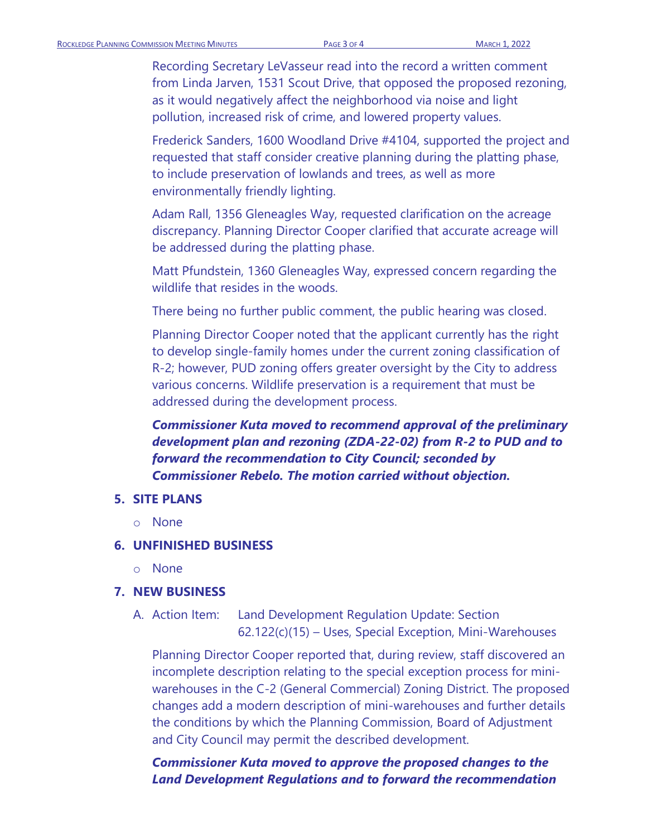Recording Secretary LeVasseur read into the record a written comment from Linda Jarven, 1531 Scout Drive, that opposed the proposed rezoning, as it would negatively affect the neighborhood via noise and light pollution, increased risk of crime, and lowered property values.

Frederick Sanders, 1600 Woodland Drive #4104, supported the project and requested that staff consider creative planning during the platting phase, to include preservation of lowlands and trees, as well as more environmentally friendly lighting.

Adam Rall, 1356 Gleneagles Way, requested clarification on the acreage discrepancy. Planning Director Cooper clarified that accurate acreage will be addressed during the platting phase.

Matt Pfundstein, 1360 Gleneagles Way, expressed concern regarding the wildlife that resides in the woods.

There being no further public comment, the public hearing was closed.

Planning Director Cooper noted that the applicant currently has the right to develop single-family homes under the current zoning classification of R-2; however, PUD zoning offers greater oversight by the City to address various concerns. Wildlife preservation is a requirement that must be addressed during the development process.

### *Commissioner Kuta moved to recommend approval of the preliminary development plan and rezoning (ZDA-22-02) from R-2 to PUD and to forward the recommendation to City Council; seconded by Commissioner Rebelo. The motion carried without objection.*

#### **5. SITE PLANS**

o None

#### **6. UNFINISHED BUSINESS**

o None

#### **7. NEW BUSINESS**

A. Action Item: Land Development Regulation Update: Section 62.122(c)(15) – Uses, Special Exception, Mini-Warehouses

Planning Director Cooper reported that, during review, staff discovered an incomplete description relating to the special exception process for miniwarehouses in the C-2 (General Commercial) Zoning District. The proposed changes add a modern description of mini-warehouses and further details the conditions by which the Planning Commission, Board of Adjustment and City Council may permit the described development.

*Commissioner Kuta moved to approve the proposed changes to the Land Development Regulations and to forward the recommendation*